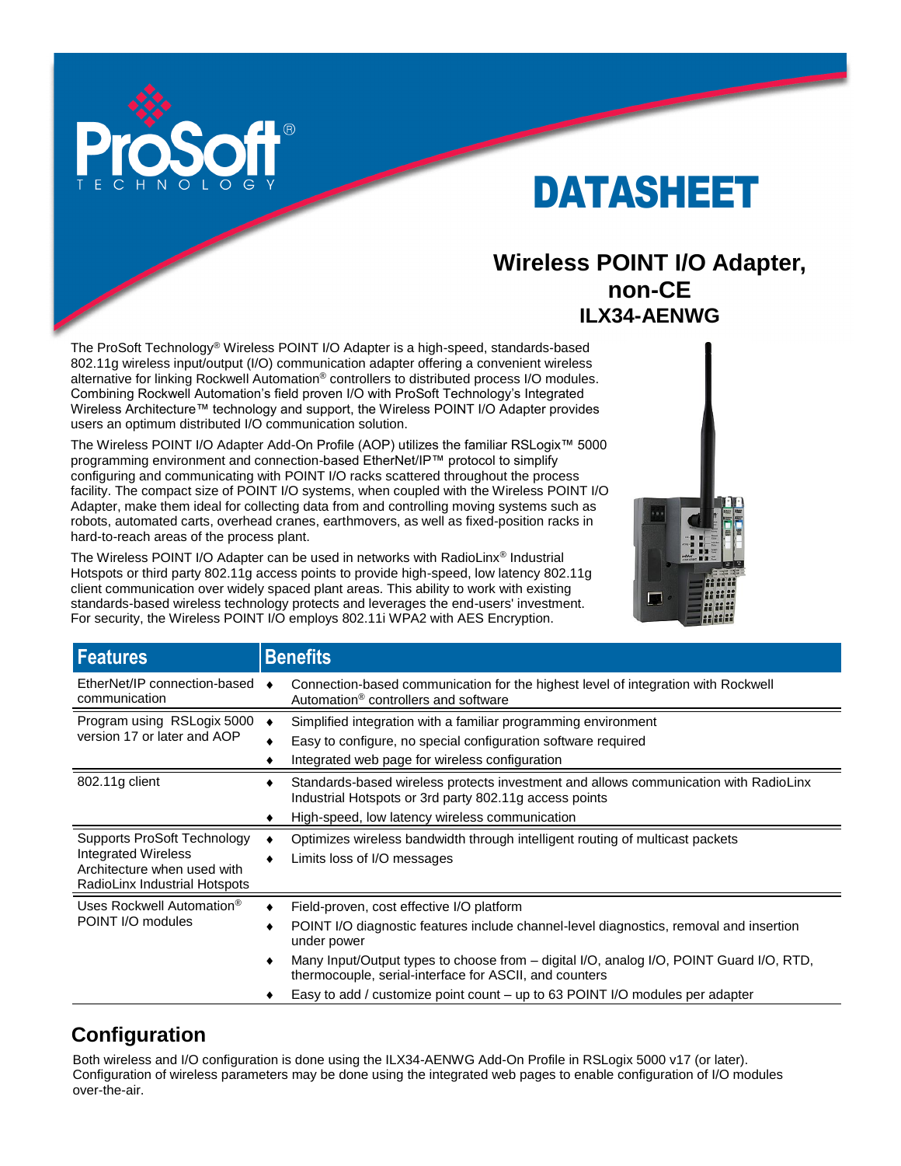

# DATASHEET

# **Wireless POINT I/O Adapter, non-CE ILX34-AENWG**

The ProSoft Technology® Wireless POINT I/O Adapter is a high-speed, standards-based 802.11g wireless input/output (I/O) communication adapter offering a convenient wireless alternative for linking Rockwell Automation® controllers to distributed process I/O modules. Combining Rockwell Automation's field proven I/O with ProSoft Technology's Integrated Wireless Architecture™ technology and support, the Wireless POINT I/O Adapter provides users an optimum distributed I/O communication solution.

The Wireless POINT I/O Adapter Add-On Profile (AOP) utilizes the familiar RSLogix™ 5000 programming environment and connection-based EtherNet/IP™ protocol to simplify configuring and communicating with POINT I/O racks scattered throughout the process facility. The compact size of POINT I/O systems, when coupled with the Wireless POINT I/O Adapter, make them ideal for collecting data from and controlling moving systems such as robots, automated carts, overhead cranes, earthmovers, as well as fixed-position racks in hard-to-reach areas of the process plant.

The Wireless POINT I/O Adapter can be used in networks with RadioLinx® Industrial Hotspots or third party 802.11g access points to provide high-speed, low latency 802.11g client communication over widely spaced plant areas. This ability to work with existing standards-based wireless technology protects and leverages the end-users' investment. For security, the Wireless POINT I/O employs 802.11i WPA2 with AES Encryption.



| <b>Features</b>                                                                                                    | <b>Benefits</b>                                                                                                                                   |
|--------------------------------------------------------------------------------------------------------------------|---------------------------------------------------------------------------------------------------------------------------------------------------|
| EtherNet/IP connection-based<br>communication                                                                      | Connection-based communication for the highest level of integration with Rockwell<br>Automation <sup>®</sup> controllers and software             |
| Program using RSLogix 5000                                                                                         | Simplified integration with a familiar programming environment                                                                                    |
| version 17 or later and AOP                                                                                        | Easy to configure, no special configuration software required                                                                                     |
|                                                                                                                    | Integrated web page for wireless configuration                                                                                                    |
| 802.11g client                                                                                                     | Standards-based wireless protects investment and allows communication with RadioLinx<br>Industrial Hotspots or 3rd party 802.11g access points    |
|                                                                                                                    | High-speed, low latency wireless communication                                                                                                    |
| Supports ProSoft Technology<br>Integrated Wireless<br>Architecture when used with<br>RadioLinx Industrial Hotspots | Optimizes wireless bandwidth through intelligent routing of multicast packets<br>Limits loss of I/O messages                                      |
| Uses Rockwell Automation <sup>®</sup>                                                                              | Field-proven, cost effective I/O platform                                                                                                         |
| POINT I/O modules                                                                                                  | POINT I/O diagnostic features include channel-level diagnostics, removal and insertion<br>under power                                             |
|                                                                                                                    | Many Input/Output types to choose from – digital I/O, analog I/O, POINT Guard I/O, RTD,<br>thermocouple, serial-interface for ASCII, and counters |
|                                                                                                                    | Easy to add / customize point count – up to 63 POINT I/O modules per adapter                                                                      |

# **Configuration**

Both wireless and I/O configuration is done using the ILX34-AENWG Add-On Profile in RSLogix 5000 v17 (or later). Configuration of wireless parameters may be done using the integrated web pages to enable configuration of I/O modules over-the-air.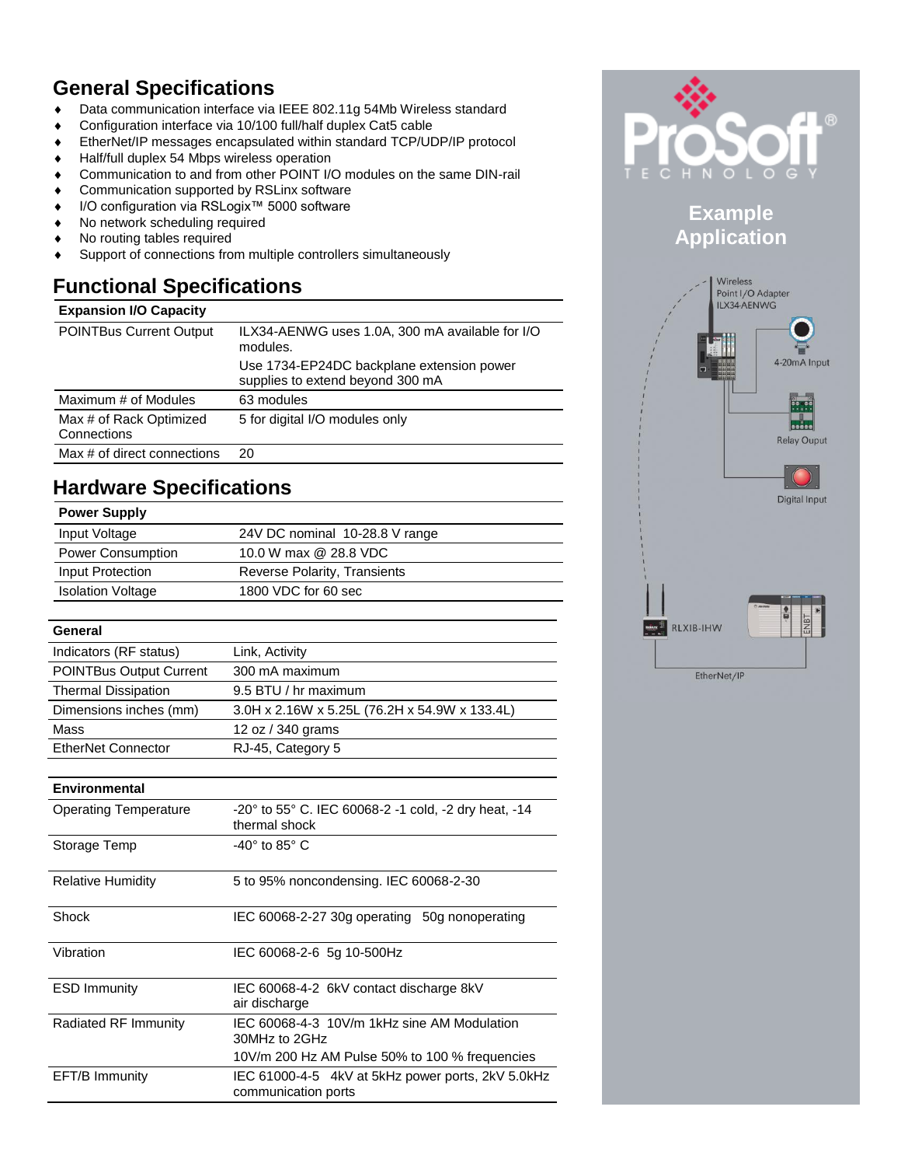# **General Specifications**

- ◆ Data communication interface via IEEE 802.11g 54Mb Wireless standard
- Configuration interface via 10/100 full/half duplex Cat5 cable
- EtherNet/IP messages encapsulated within standard TCP/UDP/IP protocol
- Half/full duplex 54 Mbps wireless operation
- Communication to and from other POINT I/O modules on the same DIN-rail
- Communication supported by RSLinx software
- I/O configuration via RSLogix™ 5000 software
- No network scheduling required
- No routing tables required
- Support of connections from multiple controllers simultaneously

# **Functional Specifications**

## **Expansion I/O Capacity**

| <b>POINTBus Current Output</b>         | ILX34-AENWG uses 1.0A, 300 mA available for I/O<br>modules.<br>Use 1734-EP24DC backplane extension power<br>supplies to extend beyond 300 mA |
|----------------------------------------|----------------------------------------------------------------------------------------------------------------------------------------------|
| Maximum # of Modules                   | 63 modules                                                                                                                                   |
|                                        |                                                                                                                                              |
| Max # of Rack Optimized<br>Connections | 5 for digital I/O modules only                                                                                                               |
| Max # of direct connections            | 20                                                                                                                                           |

### **Hardware Specifications Power Supply**

| <b>POWER SUPPIY</b>      |                                |
|--------------------------|--------------------------------|
| Input Voltage            | 24V DC nominal 10-28.8 V range |
| <b>Power Consumption</b> | 10.0 W max @ 28.8 VDC          |
| Input Protection         | Reverse Polarity, Transients   |
| <b>Isolation Voltage</b> | 1800 VDC for 60 sec            |
|                          |                                |

## **General** Indicators (RF status) Link, Activity POINTBus Output Current 300 mA maximum Thermal Dissipation 9.5 BTU / hr maximum Dimensions inches (mm) 3.0H x 2.16W x 5.25L (76.2H x 54.9W x 133.4L) Mass 12 oz / 340 grams EtherNet Connector RJ-45, Category 5

#### **Environmental**

| <b>Operating Temperature</b> | $-20^{\circ}$ to 55 $^{\circ}$ C. IEC 60068-2 -1 cold, -2 dry heat, -14<br>thermal shock |
|------------------------------|------------------------------------------------------------------------------------------|
| Storage Temp                 | -40 $^{\circ}$ to 85 $^{\circ}$ C                                                        |
| Relative Humidity            | 5 to 95% noncondensing. IEC 60068-2-30                                                   |
| Shock                        | IEC 60068-2-27 30g operating 50g nonoperating                                            |
| Vibration                    | IEC 60068-2-6 5g 10-500Hz                                                                |
| <b>ESD Immunity</b>          | IEC 60068-4-2 6kV contact discharge 8kV<br>air discharge                                 |
| Radiated RF Immunity         | IEC 60068-4-3 10V/m 1kHz sine AM Modulation<br>30MHz to 2GHz                             |
|                              | 10V/m 200 Hz AM Pulse 50% to 100 % frequencies                                           |
| EFT/B Immunity               | IEC 61000-4-5 4kV at 5kHz power ports, 2kV 5.0kHz<br>communication ports                 |



## **Example Application**

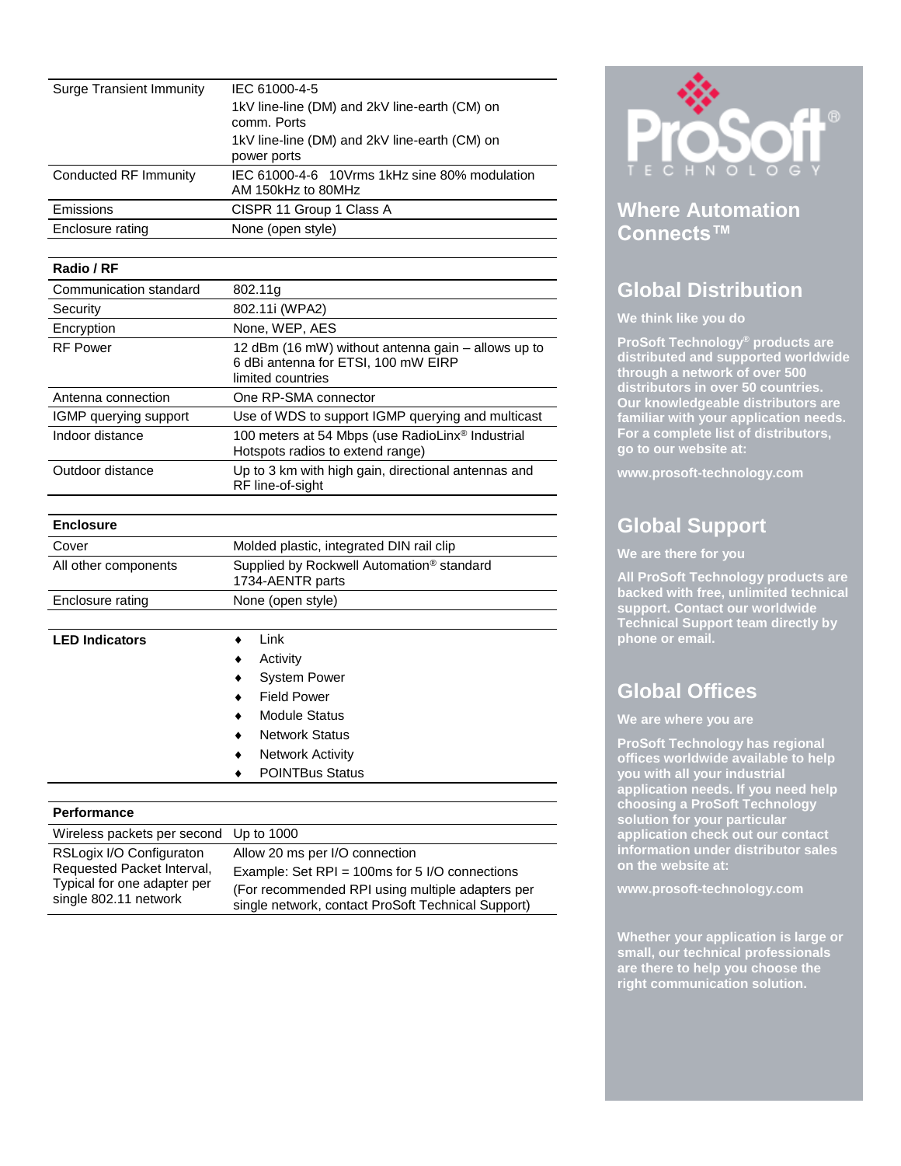| Surge Transient Immunity | IEC 61000-4-5<br>1kV line-line (DM) and 2kV line-earth (CM) on<br>comm. Ports |
|--------------------------|-------------------------------------------------------------------------------|
|                          | 1kV line-line (DM) and 2kV line-earth (CM) on<br>power ports                  |
| Conducted RF Immunity    | IEC 61000-4-6 10Vrms 1kHz sine 80% modulation<br>AM 150kHz to 80MHz           |
| Emissions                | CISPR 11 Group 1 Class A                                                      |
| Enclosure rating         | None (open style)                                                             |

## **Radio / RF**

| Communication standard | 802.11g                                                                                                        |
|------------------------|----------------------------------------------------------------------------------------------------------------|
| Security               | 802.11i (WPA2)                                                                                                 |
| Encryption             | None, WEP, AES                                                                                                 |
| <b>RF Power</b>        | 12 dBm (16 mW) without antenna gain – allows up to<br>6 dBi antenna for ETSI, 100 mW EIRP<br>limited countries |
| Antenna connection     | One RP-SMA connector                                                                                           |
| IGMP querying support  | Use of WDS to support IGMP querying and multicast                                                              |
| Indoor distance        | 100 meters at 54 Mbps (use RadioLinx® Industrial<br>Hotspots radios to extend range)                           |
| Outdoor distance       | Up to 3 km with high gain, directional antennas and<br>RF line-of-sight                                        |

| <b>Enclosure</b>      |                                                                           |
|-----------------------|---------------------------------------------------------------------------|
| Cover                 | Molded plastic, integrated DIN rail clip                                  |
| All other components  | Supplied by Rockwell Automation <sup>®</sup> standard<br>1734-AENTR parts |
| Enclosure rating      | None (open style)                                                         |
|                       |                                                                           |
| <b>LED Indicators</b> | Link                                                                      |
|                       | Activity<br>٠                                                             |
|                       | <b>System Power</b>                                                       |
|                       | <b>Field Power</b>                                                        |

- Module Status
- Network Status
- Network Activity
- ◆ POINTBus Status

#### **Performance**

| Wireless packets per second Up to 1000 |                                                    |
|----------------------------------------|----------------------------------------------------|
| RSLogix I/O Configuraton               | Allow 20 ms per I/O connection                     |
| Requested Packet Interval,             | Example: Set RPI = $100ms$ for 5 I/O connections   |
| Typical for one adapter per            | (For recommended RPI using multiple adapters per   |
| single 802.11 network                  | single network, contact ProSoft Technical Support) |



## **Where Automation Connects™**

# **Global Distribution**

## **We think like you do**

**ProSoft Technology® products are distributed and supported worldwide through a network of over 500 distributors in over 50 countries. Our knowledgeable distributors are familiar with your application needs. For a complete list of distributors, go to our website at:**

**www.prosoft-technology.com**

# **Global Support**

#### **We are there for you**

**All ProSoft Technology products are backed with free, unlimited technical support. Contact our worldwide Technical Support team directly by phone or email.**

# **Global Offices**

#### **We are where you are**

**ProSoft Technology has regional offices worldwide available to help you with all your industrial application needs. If you need help choosing a ProSoft Technology solution for your particular application check out our contact information under distributor sales on the website at:**

**www.prosoft-technology.com**

**Whether your application is large or small, our technical professionals are there to help you choose the right communication solution.**